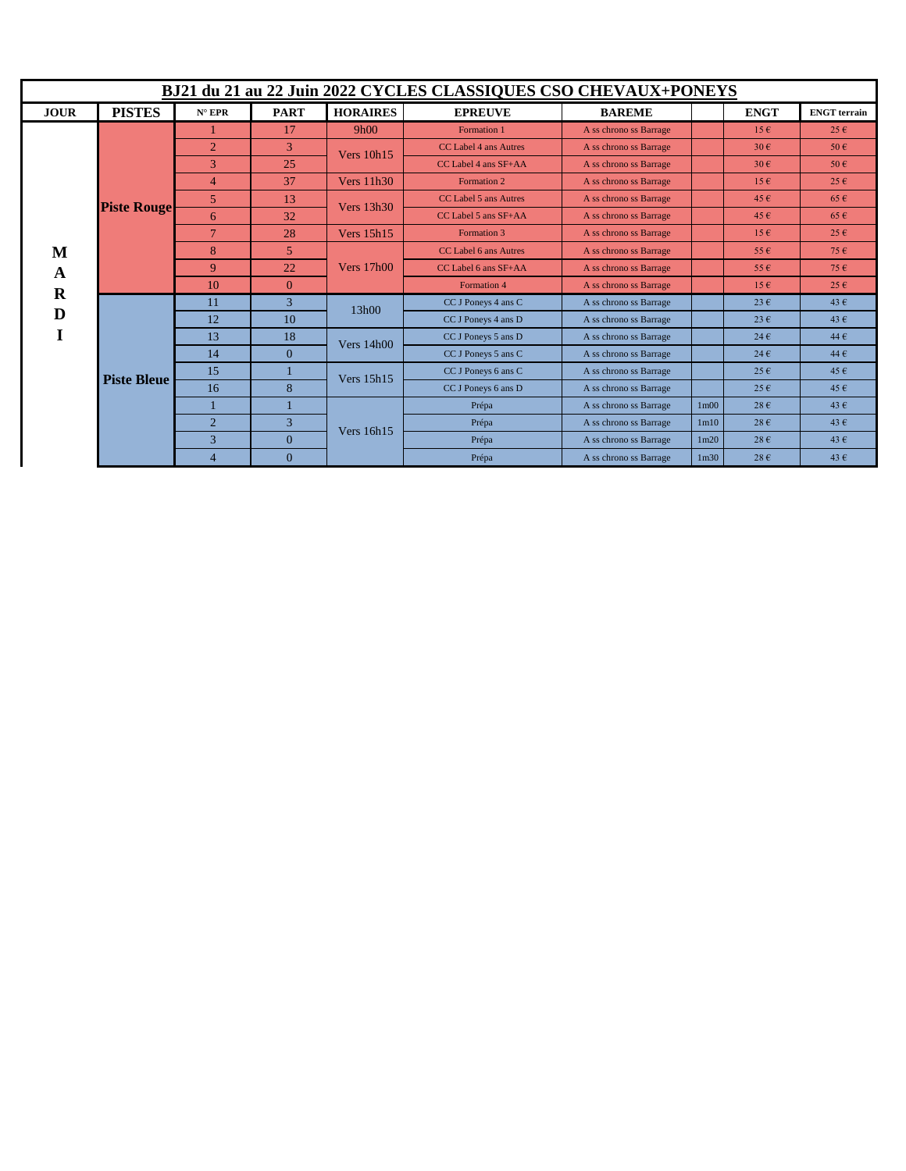| BJ21 du 21 au 22 Juin 2022 CYCLES CLASSIQUES CSO CHEVAUX+PONEYS |                    |                 |                |                   |                          |                        |                   |                   |                     |  |  |
|-----------------------------------------------------------------|--------------------|-----------------|----------------|-------------------|--------------------------|------------------------|-------------------|-------------------|---------------------|--|--|
| <b>JOUR</b>                                                     | <b>PISTES</b>      | $N^{\circ}$ EPR | <b>PART</b>    | <b>HORAIRES</b>   | <b>EPREUVE</b>           | <b>BAREME</b>          |                   | <b>ENGT</b>       | <b>ENGT</b> terrain |  |  |
| M<br>A<br>$\bf R$<br>D                                          | <b>Piste Rouge</b> |                 | 17             | 9h00              | Formation 1              | A ss chrono ss Barrage |                   | $15 \in$          | $25 \in$            |  |  |
|                                                                 |                    | $\overline{2}$  | 3              | Vers $10h15$      | CC Label 4 ans Autres    | A ss chrono ss Barrage |                   | $30 \text{ } \in$ | 50E                 |  |  |
|                                                                 |                    | 3               | 25             |                   | $CC$ Label 4 ans $SF+AA$ | A ss chrono ss Barrage |                   | $30 \text{ } \in$ | 50E                 |  |  |
|                                                                 |                    | $\overline{4}$  | 37             | Vers $11h30$      | Formation 2              | A ss chrono ss Barrage |                   | $15 \in$          | $25 \in$            |  |  |
|                                                                 |                    | $\mathfrak{H}$  | 13             | <b>Vers</b> 13h30 | CC Label 5 ans Autres    | A ss chrono ss Barrage |                   | 45 $\epsilon$     | $65 \in$            |  |  |
|                                                                 |                    | 6               | 32             |                   | CC Label 5 ans SF+AA     | A ss chrono ss Barrage |                   | 45 $\epsilon$     | $65 \in$            |  |  |
|                                                                 |                    | $\overline{7}$  | 28             | Vers 15h15        | Formation 3              | A ss chrono ss Barrage |                   | $15 \in$          | $25 \in$            |  |  |
|                                                                 |                    | 8               | 5              | <b>Vers</b> 17h00 | CC Label 6 ans Autres    | A ss chrono ss Barrage |                   | $55 \in$          | 75E                 |  |  |
|                                                                 |                    | 9               | 22             |                   | CC Label 6 ans SF+AA     | A ss chrono ss Barrage |                   | $55 \in$          | 75E                 |  |  |
|                                                                 |                    | 10              | $\overline{0}$ |                   | Formation 4              | A ss chrono ss Barrage |                   | $15 \in$          | $25 \in$            |  |  |
|                                                                 | <b>Piste Bleue</b> | 11              | $\overline{3}$ | 13h00             | CC J Poneys 4 ans C      | A ss chrono ss Barrage |                   | $23 \text{ } \in$ | 43 $\epsilon$       |  |  |
|                                                                 |                    | 12              | 10             |                   | CC J Poneys 4 ans D      | A ss chrono ss Barrage |                   | $23 \text{ } \in$ | 43 $\epsilon$       |  |  |
|                                                                 |                    | 13              | 18             | Vers $14h00$      | CC J Poneys 5 ans D      | A ss chrono ss Barrage |                   | $24 \text{ } \in$ | 44 $\epsilon$       |  |  |
|                                                                 |                    | 14              | $\Omega$       |                   | CC J Poneys 5 ans C      | A ss chrono ss Barrage |                   | $24 \text{ } \in$ | 44 $\epsilon$       |  |  |
|                                                                 |                    | 15              |                | <b>Vers</b> 15h15 | CC J Poneys 6 ans C      | A ss chrono ss Barrage |                   | $25 \in$          | $45 \in$            |  |  |
|                                                                 |                    | 16              | 8              |                   | CC J Poneys 6 ans D      | A ss chrono ss Barrage |                   | $25 \in$          | $45 \in$            |  |  |
|                                                                 |                    |                 |                | Vers 16h15        | Prépa                    | A ss chrono ss Barrage | 1 <sub>m</sub> 00 | $28 \text{ } \in$ | 43 $\epsilon$       |  |  |
|                                                                 |                    | $\overline{2}$  | 3              |                   | Prépa                    | A ss chrono ss Barrage | 1 <sub>m10</sub>  | $28 \text{ } \in$ | 43 $\epsilon$       |  |  |
|                                                                 |                    | 3               | $\overline{0}$ |                   | Prépa                    | A ss chrono ss Barrage | 1 <sub>m20</sub>  | $28 \text{ } \in$ | 43 $\epsilon$       |  |  |
|                                                                 |                    | $\overline{4}$  | $\overline{0}$ |                   | Prépa                    | A ss chrono ss Barrage | 1 <sub>m30</sub>  | $28 \text{ } \in$ | 43 $\epsilon$       |  |  |